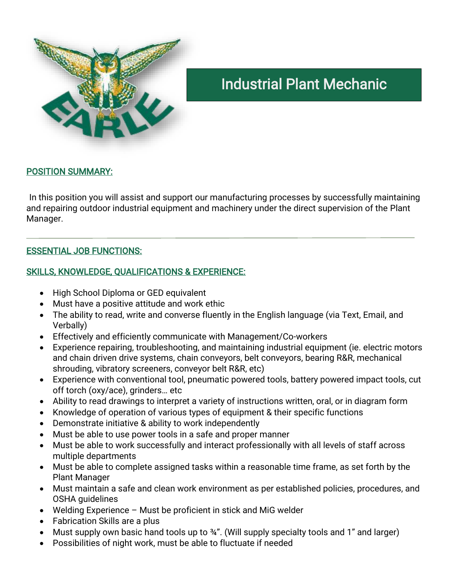

# Industrial Plant Mechanic

### POSITION SUMMARY:

In this position you will assist and support our manufacturing processes by successfully maintaining and repairing outdoor industrial equipment and machinery under the direct supervision of the Plant Manager.

### ESSENTIAL JOB FUNCTIONS:

## SKILLS, KNOWLEDGE, QUALIFICATIONS & EXPERIENCE:

- High School Diploma or GED equivalent
- Must have a positive attitude and work ethic
- The ability to read, write and converse fluently in the English language (via Text, Email, and Verbally)
- Effectively and efficiently communicate with Management/Co-workers
- Experience repairing, troubleshooting, and maintaining industrial equipment (ie. electric motors and chain driven drive systems, chain conveyors, belt conveyors, bearing R&R, mechanical shrouding, vibratory screeners, conveyor belt R&R, etc)
- Experience with conventional tool, pneumatic powered tools, battery powered impact tools, cut off torch (oxy/ace), grinders… etc
- Ability to read drawings to interpret a variety of instructions written, oral, or in diagram form
- Knowledge of operation of various types of equipment & their specific functions
- Demonstrate initiative & ability to work independently
- Must be able to use power tools in a safe and proper manner
- Must be able to work successfully and interact professionally with all levels of staff across multiple departments
- Must be able to complete assigned tasks within a reasonable time frame, as set forth by the Plant Manager
- Must maintain a safe and clean work environment as per established policies, procedures, and OSHA guidelines
- Welding Experience Must be proficient in stick and MiG welder
- Fabrication Skills are a plus
- Must supply own basic hand tools up to 34". (Will supply specialty tools and 1" and larger)
- Possibilities of night work, must be able to fluctuate if needed